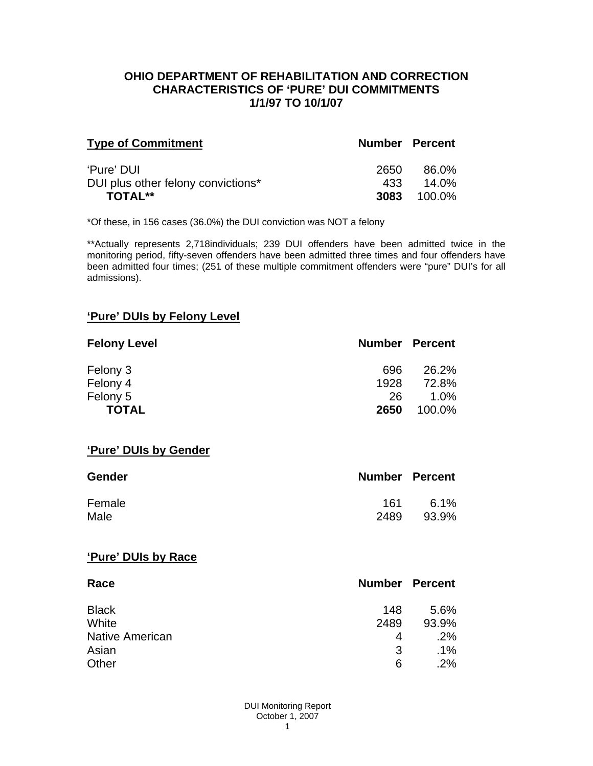### **OHIO DEPARTMENT OF REHABILITATION AND CORRECTION CHARACTERISTICS OF 'PURE' DUI COMMITMENTS 1/1/97 TO 10/1/07**

| <b>Type of Commitment</b>          | <b>Number Percent</b> |        |
|------------------------------------|-----------------------|--------|
| 'Pure' DUI                         | 2650                  | 86.0%  |
| DUI plus other felony convictions* | 433                   | 14.0%  |
| TOTAL**                            | 3083                  | 100.0% |

\*Of these, in 156 cases (36.0%) the DUI conviction was NOT a felony

\*\*Actually represents 2,718individuals; 239 DUI offenders have been admitted twice in the monitoring period, fifty-seven offenders have been admitted three times and four offenders have been admitted four times; (251 of these multiple commitment offenders were "pure" DUI's for all admissions).

### **'Pure' DUIs by Felony Level**

| <b>Felony Level</b> | <b>Number Percent</b> |         |
|---------------------|-----------------------|---------|
| Felony 3            | 696                   | 26.2%   |
| Felony 4            | 1928                  | 72.8%   |
| Felony 5            | 26                    | $1.0\%$ |
| <b>TOTAL</b>        | 2650                  | 100.0%  |

#### **'Pure' DUIs by Gender**

| <b>Gender</b> | <b>Number Percent</b> |       |
|---------------|-----------------------|-------|
| Female        | 161                   | 6.1%  |
| Male          | 2489                  | 93.9% |

#### **'Pure' DUIs by Race**

| Race                   | <b>Number Percent</b> |        |
|------------------------|-----------------------|--------|
| <b>Black</b>           | 148                   | 5.6%   |
| White                  | 2489                  | 93.9%  |
| <b>Native American</b> | 4                     | .2%    |
| Asian                  | 3                     | $.1\%$ |
| Other                  | 6                     | .2%    |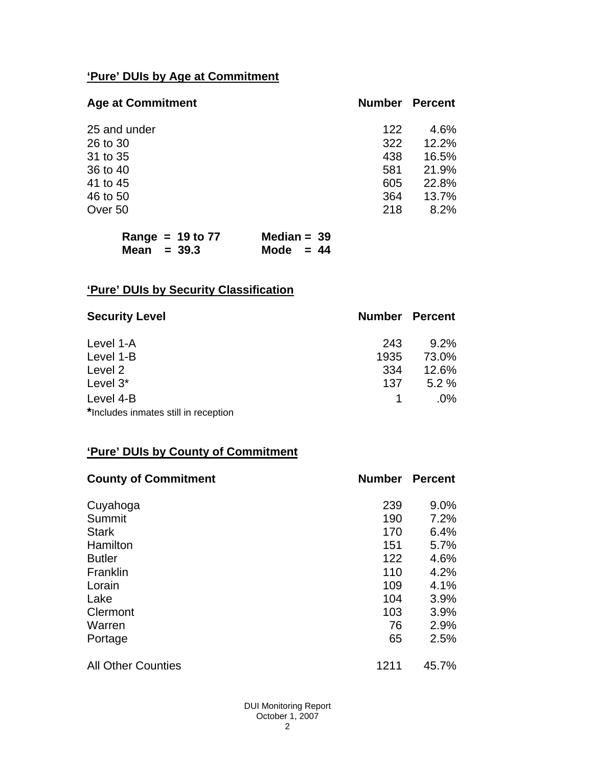# **'Pure' DUIs by Age at Commitment**

| <b>Age at Commitment</b> | <b>Number</b> | Percent |
|--------------------------|---------------|---------|
| 25 and under             | 122           | 4.6%    |
| 26 to 30                 | 322           | 12.2%   |
| 31 to 35                 | 438           | 16.5%   |
| 36 to 40                 | 581           | 21.9%   |
| 41 to 45                 | 605           | 22.8%   |
| 46 to 50                 | 364           | 13.7%   |
| Over 50                  | 218           | 8.2%    |

| Range = $19$ to $77$ | Median = $39$ |
|----------------------|---------------|
| Mean $=$ 39.3        | Mode $= 44$   |

# **'Pure' DUIs by Security Classification**

| <b>Security Level</b>                | <b>Number Percent</b> |         |
|--------------------------------------|-----------------------|---------|
| Level 1-A                            | 243                   | $9.2\%$ |
| Level 1-B                            | 1935                  | 73.0%   |
| Level 2                              | 334                   | 12.6%   |
| Level 3*                             | 137                   | 5.2%    |
| Level 4-B                            |                       | $.0\%$  |
| *Includes inmates still in reception |                       |         |

## **'Pure' DUIs by County of Commitment**

| <b>County of Commitment</b> | <b>Number</b> | <b>Percent</b> |
|-----------------------------|---------------|----------------|
| Cuyahoga                    | 239           | 9.0%           |
| Summit                      | 190           | 7.2%           |
| <b>Stark</b>                | 170           | 6.4%           |
| Hamilton                    | 151           | 5.7%           |
| <b>Butler</b>               | 122           | 4.6%           |
| Franklin                    | 110           | 4.2%           |
| Lorain                      | 109           | 4.1%           |
| Lake                        | 104           | 3.9%           |
| Clermont                    | 103           | 3.9%           |
| Warren                      | 76            | 2.9%           |
| Portage                     | 65            | 2.5%           |
| <b>All Other Counties</b>   | 1211          | 45.7%          |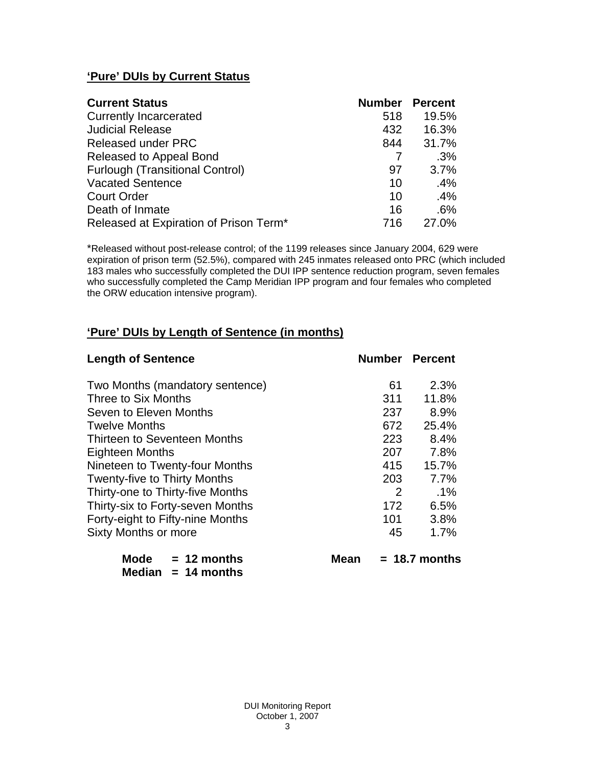# **'Pure' DUIs by Current Status**

| <b>Current Status</b>                  | <b>Number</b> | <b>Percent</b> |
|----------------------------------------|---------------|----------------|
| <b>Currently Incarcerated</b>          | 518           | 19.5%          |
| <b>Judicial Release</b>                | 432           | 16.3%          |
| <b>Released under PRC</b>              | 844           | 31.7%          |
| Released to Appeal Bond                |               | .3%            |
| <b>Furlough (Transitional Control)</b> | 97            | 3.7%           |
| <b>Vacated Sentence</b>                | 10            | .4%            |
| <b>Court Order</b>                     | 10            | .4%            |
| Death of Inmate                        | 16            | .6%            |
| Released at Expiration of Prison Term* | 716           | 27.0%          |

\*Released without post-release control; of the 1199 releases since January 2004, 629 were expiration of prison term (52.5%), compared with 245 inmates released onto PRC (which included 183 males who successfully completed the DUI IPP sentence reduction program, seven females who successfully completed the Camp Meridian IPP program and four females who completed the ORW education intensive program).

# **'Pure' DUIs by Length of Sentence (in months)**

| <b>Length of Sentence</b>            |     | <b>Number Percent</b> |
|--------------------------------------|-----|-----------------------|
| Two Months (mandatory sentence)      | 61  | 2.3%                  |
| Three to Six Months                  | 311 | 11.8%                 |
| Seven to Eleven Months               | 237 | 8.9%                  |
| <b>Twelve Months</b>                 | 672 | 25.4%                 |
| <b>Thirteen to Seventeen Months</b>  | 223 | 8.4%                  |
| <b>Eighteen Months</b>               | 207 | 7.8%                  |
| Nineteen to Twenty-four Months       | 415 | 15.7%                 |
| <b>Twenty-five to Thirty Months</b>  | 203 | 7.7%                  |
| Thirty-one to Thirty-five Months     | 2   | $.1\%$                |
| Thirty-six to Forty-seven Months     | 172 | 6.5%                  |
| Forty-eight to Fifty-nine Months     | 101 | 3.8%                  |
| <b>Sixty Months or more</b>          | 45  | 1.7%                  |
| Mode<br>$= 12$ months<br><b>Mean</b> |     | $= 18.7$ months       |

 **Median = 14 months**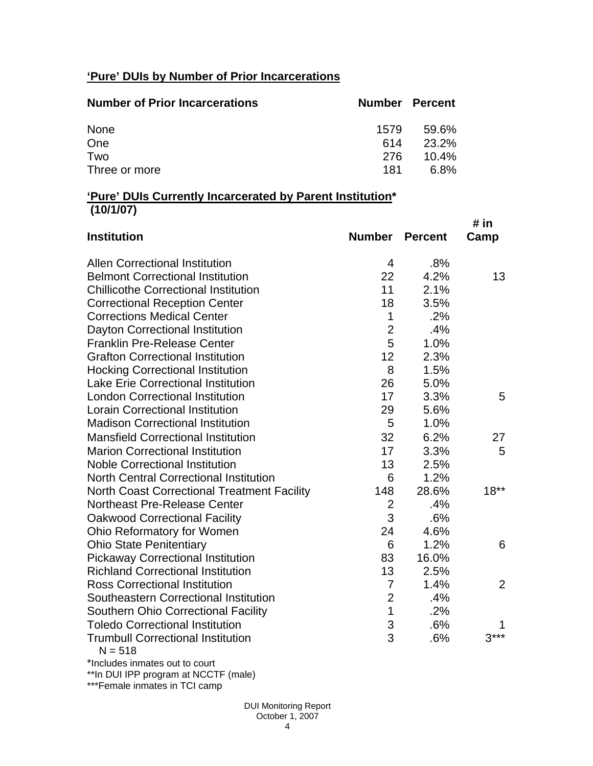# **'Pure' DUIs by Number of Prior Incarcerations**

| <b>Number of Prior Incarcerations</b> |      | <b>Number Percent</b> |
|---------------------------------------|------|-----------------------|
| None                                  | 1579 | 59.6%                 |
| One                                   | 614  | 23.2%                 |
| Two                                   | 276  | $10.4\%$              |
| Three or more                         | 181  | 6.8%                  |

### **'Pure' DUIs Currently Incarcerated by Parent Institution\* (10/1/07)**

| <b>Institution</b>                                    | <b>Number</b>  | <b>Percent</b> | # in<br>Camp   |
|-------------------------------------------------------|----------------|----------------|----------------|
| <b>Allen Correctional Institution</b>                 | 4              | .8%            |                |
| <b>Belmont Correctional Institution</b>               | 22             | 4.2%           | 13             |
| <b>Chillicothe Correctional Institution</b>           | 11             | 2.1%           |                |
| <b>Correctional Reception Center</b>                  | 18             | 3.5%           |                |
| <b>Corrections Medical Center</b>                     | $\mathbf 1$    | .2%            |                |
| Dayton Correctional Institution                       | $\overline{2}$ | .4%            |                |
| <b>Franklin Pre-Release Center</b>                    | 5              | 1.0%           |                |
| <b>Grafton Correctional Institution</b>               | 12             | 2.3%           |                |
| <b>Hocking Correctional Institution</b>               | 8              | 1.5%           |                |
| <b>Lake Erie Correctional Institution</b>             | 26             | 5.0%           |                |
| <b>London Correctional Institution</b>                | 17             | 3.3%           | 5              |
| <b>Lorain Correctional Institution</b>                | 29             | 5.6%           |                |
| <b>Madison Correctional Institution</b>               | 5              | 1.0%           |                |
| <b>Mansfield Correctional Institution</b>             | 32             | 6.2%           | 27             |
| <b>Marion Correctional Institution</b>                | 17             | 3.3%           | 5              |
| <b>Noble Correctional Institution</b>                 | 13             | 2.5%           |                |
| <b>North Central Correctional Institution</b>         | 6              | 1.2%           |                |
| <b>North Coast Correctional Treatment Facility</b>    | 148            | 28.6%          | $18***$        |
| Northeast Pre-Release Center                          | $\overline{2}$ | .4%            |                |
| <b>Oakwood Correctional Facility</b>                  | 3              | .6%            |                |
| Ohio Reformatory for Women                            | 24             | 4.6%           |                |
| <b>Ohio State Penitentiary</b>                        | 6              | 1.2%           | 6              |
| <b>Pickaway Correctional Institution</b>              | 83             | 16.0%          |                |
| <b>Richland Correctional Institution</b>              | 13             | 2.5%           |                |
| <b>Ross Correctional Institution</b>                  | $\overline{7}$ | 1.4%           | $\overline{2}$ |
| Southeastern Correctional Institution                 | $\overline{2}$ | .4%            |                |
| <b>Southern Ohio Correctional Facility</b>            | $\mathbf 1$    | .2%            |                |
| <b>Toledo Correctional Institution</b>                | 3              | .6%            |                |
| <b>Trumbull Correctional Institution</b><br>$N = 518$ | 3              | .6%            | $3***$         |

\*Includes inmates out to court

\*\*In DUI IPP program at NCCTF (male)

\*\*\*Female inmates in TCI camp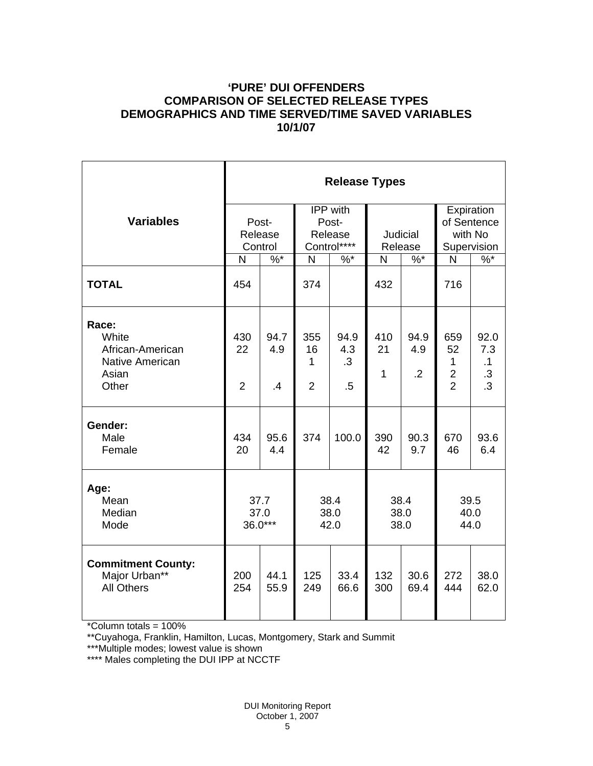## **'PURE' DUI OFFENDERS COMPARISON OF SELECTED RELEASE TYPES DEMOGRAPHICS AND TIME SERVED/TIME SAVED VARIABLES 10/1/07**

|                                                                                | <b>Release Types</b>        |                   |                                             |                             |                           |                               |                                                     |                                                      |  |  |
|--------------------------------------------------------------------------------|-----------------------------|-------------------|---------------------------------------------|-----------------------------|---------------------------|-------------------------------|-----------------------------------------------------|------------------------------------------------------|--|--|
| <b>Variables</b>                                                               | Post-<br>Release<br>Control |                   | IPP with<br>Post-<br>Release<br>Control**** |                             | Judicial<br>Release       |                               | Expiration<br>of Sentence<br>with No<br>Supervision |                                                      |  |  |
|                                                                                | N                           | $\%$ *            | N                                           | $%^*$                       | N                         | $\%$ *                        | N                                                   | $\%$ *                                               |  |  |
| <b>TOTAL</b>                                                                   | 454                         |                   | 374                                         |                             | 432                       |                               | 716                                                 |                                                      |  |  |
| Race:<br>White<br>African-American<br><b>Native American</b><br>Asian<br>Other | 430<br>22<br>$\overline{2}$ | 94.7<br>4.9<br>.4 | 355<br>16<br>1<br>$\overline{2}$            | 94.9<br>4.3<br>.3<br>$.5\,$ | 410<br>21<br>$\mathbf{1}$ | 94.9<br>4.9<br>$\overline{2}$ | 659<br>52<br>1<br>$\overline{2}$<br>$\overline{2}$  | 92.0<br>7.3<br>$\cdot$ 1<br>$.3\,$<br>$\overline{3}$ |  |  |
| Gender:<br>Male<br>Female                                                      | 434<br>20                   | 95.6<br>4.4       | 374                                         | 100.0                       | 390<br>42                 | 90.3<br>9.7                   | 670<br>46                                           | 93.6<br>6.4                                          |  |  |
| Age:<br>Mean<br>Median<br>Mode                                                 | 37.7<br>37.0<br>36.0***     |                   | 38.4<br>38.0<br>42.0                        |                             | 38.4<br>38.0<br>38.0      |                               | 39.5<br>40.0<br>44.0                                |                                                      |  |  |
| <b>Commitment County:</b><br>Major Urban**<br><b>All Others</b>                | 200<br>254                  | 44.1<br>55.9      | 125<br>249                                  | 33.4<br>66.6                | 132<br>300                | 30.6<br>69.4                  | 272<br>444                                          | 38.0<br>62.0                                         |  |  |

\*Column totals = 100%

\*\*Cuyahoga, Franklin, Hamilton, Lucas, Montgomery, Stark and Summit

\*\*\*Multiple modes; lowest value is shown

\*\*\*\* Males completing the DUI IPP at NCCTF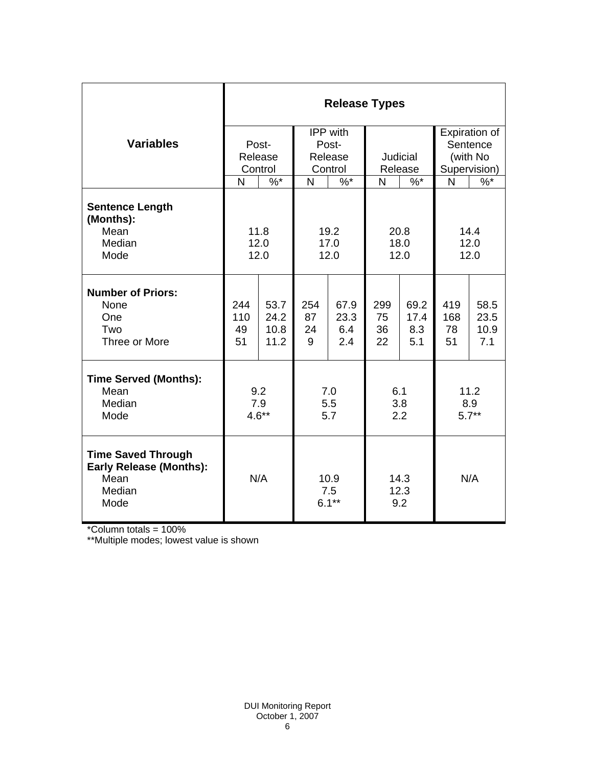|                                                                                       | <b>Release Types</b> |              |                         |              |                     |              |              |               |  |  |
|---------------------------------------------------------------------------------------|----------------------|--------------|-------------------------|--------------|---------------------|--------------|--------------|---------------|--|--|
|                                                                                       |                      |              | IPP with                |              |                     |              |              | Expiration of |  |  |
| <b>Variables</b>                                                                      |                      | Post-        | Post-                   |              |                     |              |              | Sentence      |  |  |
|                                                                                       |                      | Release      |                         | Release      |                     | Judicial     |              | (with No      |  |  |
|                                                                                       | Control              |              | Control                 |              | Release             |              | Supervision) |               |  |  |
|                                                                                       | N                    | $\%$ *       | N                       | $\%$ *       | N                   | $\%$ *       | N            | $\%$          |  |  |
| <b>Sentence Length</b><br>(Months):                                                   |                      |              |                         |              |                     |              |              |               |  |  |
| Mean<br>Median                                                                        | 11.8                 |              | 19.2                    |              | 20.8<br>18.0        |              | 14.4<br>12.0 |               |  |  |
| Mode                                                                                  | 12.0                 |              | 17.0<br>12.0            |              | 12.0                |              | 12.0         |               |  |  |
|                                                                                       | 12.0                 |              |                         |              |                     |              |              |               |  |  |
| <b>Number of Priors:</b><br>None<br>One                                               | 244<br>110           | 53.7<br>24.2 | 254<br>87               | 67.9<br>23.3 | 299<br>75           | 69.2<br>17.4 | 419<br>168   | 58.5<br>23.5  |  |  |
| Two                                                                                   | 49                   | 10.8         | 24                      | 6.4          | 36                  | 8.3          | 78           | 10.9          |  |  |
| Three or More                                                                         | 51                   | 11.2         | 9                       | 2.4          | 22                  | 5.1          | 51           | 7.1           |  |  |
| <b>Time Served (Months):</b>                                                          |                      |              |                         |              |                     |              |              |               |  |  |
| Mean                                                                                  | 9.2                  |              | 7.0                     |              | 6.1                 |              | 11.2         |               |  |  |
| Median                                                                                | 7.9                  |              | 5.5                     |              | 3.8                 |              | 8.9          |               |  |  |
| Mode                                                                                  | $4.6**$              |              | 5.7                     |              | 2.2                 |              | $5.7**$      |               |  |  |
| <b>Time Saved Through</b><br><b>Early Release (Months):</b><br>Mean<br>Median<br>Mode | N/A                  |              | 10.9<br>7.5<br>$6.1***$ |              | 14.3<br>12.3<br>9.2 |              | N/A          |               |  |  |

\*Column totals = 100%

\*\*Multiple modes; lowest value is shown